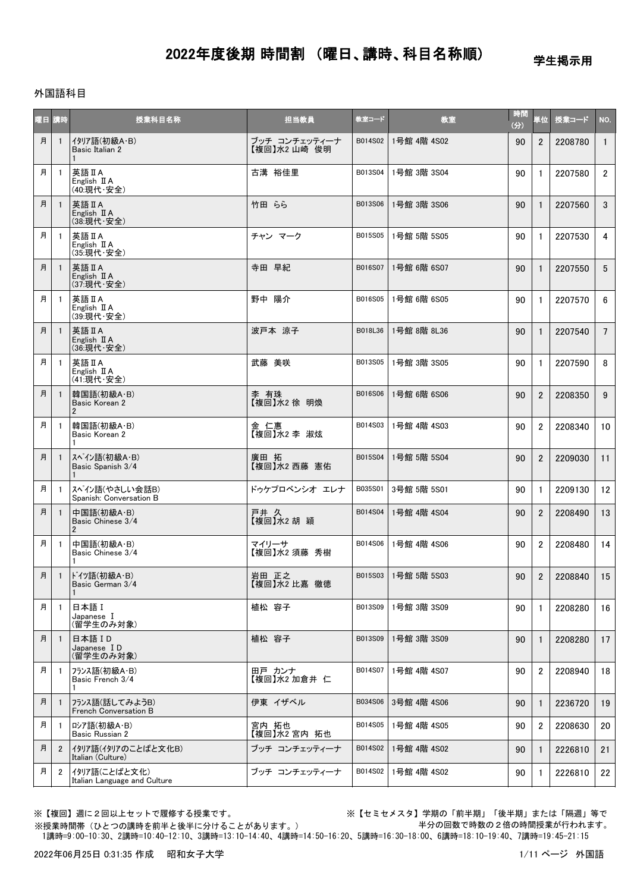学生掲示用

#### 外国語科目

| 公目 | 講時             | 授業科目名称                                            | 担当教員                         | 教室コード   | 教室          | 時間<br>(分) | 単位             | 授業コード   | NO.            |
|----|----------------|---------------------------------------------------|------------------------------|---------|-------------|-----------|----------------|---------|----------------|
| 月  | -1             | イタリア語(初級A・B)<br>Basic Italian 2                   | ブッチ コンチェッティーナ<br>【複回】水2山崎 俊明 | B014S02 | 1号館 4階 4S02 | 90        | $\overline{2}$ | 2208780 | $\mathbf{1}$   |
| 月  | -1             | 英語 II A<br>English II A<br>(40:現代·安全)             | 古溝 裕佳里                       | B013S04 | 1号館 3階 3S04 | 90        | 1              | 2207580 | $\mathbf{2}$   |
| 月  | -1             | 英語 II A<br>English II A<br>(38:現代·安全)             | 竹田 らら                        | B013S06 | 1号館 3階 3S06 | 90        | $\mathbf{1}$   | 2207560 | 3 <sup>1</sup> |
| 月  | -1             | 英語 II A<br>English II A<br>(35:現代·安全)             | チャン マーク                      | B015S05 | 1号館 5階 5S05 | 90        | $\mathbf{1}$   | 2207530 | 4              |
| 月  | -1             | 英語 II A<br>English II A<br>(37:現代·安全)             | 寺田 早紀                        | B016S07 | 1号館 6階 6S07 | 90        | $\mathbf{1}$   | 2207550 | 5 <sup>5</sup> |
| 月  | -1             | 英語IA<br>English $\mathbb I$ A<br>(39:現代·安全)       | 野中 陽介                        | B016S05 | 1号館 6階 6S05 | 90        | $\mathbf{1}$   | 2207570 | 6              |
| 月  |                | 英語 II A<br>English II A<br>(36:現代·安全)             | 波戸本 涼子                       | B018L36 | 1号館 8階 8L36 | 90        | $\mathbf{1}$   | 2207540 | $7^{\circ}$    |
| 月  | -1             | 英語 II A<br>English II A<br>(41:現代·安全)             | 武藤 美咲                        | B013S05 | 1号館 3階 3S05 | 90        | $\mathbf{1}$   | 2207590 | 8              |
| 月  |                | 韓国語(初級A·B)<br>Basic Korean 2<br>$\overline{2}$    | 李 有珠<br>【複回】水2 徐 明煥          | B016S06 | 1号館 6階 6S06 | 90        | $\overline{2}$ | 2208350 | 9              |
| 月  | $\mathbf{1}$   | 韓国語(初級A·B)<br>Basic Korean 2                      | 金 仁惠<br>【複回】水2 李 淑炫          | B014S03 | 1号館 4階 4S03 | 90        | $\overline{2}$ | 2208340 | 10             |
| 月  | $\mathbf{1}$   | スペイン語(初級A·B)<br>Basic Spanish 3/4                 | 廣田 拓<br>【複回】水2 西藤 憲佑         | B015S04 | 1号館 5階 5S04 | 90        | $\overline{2}$ | 2209030 | 11             |
| 月  | $\mathbf{1}$   | スペイン語(やさしい会話B)<br>Spanish: Conversation B         | ドゥケプロベンシオ エレナ                | B035S01 | 3号館 5階 5S01 | 90        | $\mathbf{1}$   | 2209130 | 12             |
| 月  |                | 中国語(初級A·B)<br>Basic Chinese 3/4<br>$\overline{2}$ | 戸井 久<br>【複回】水2胡穎             | B014S04 | 1号館 4階 4S04 | 90        | $\overline{2}$ | 2208490 | 13             |
| 月  | -1             | 中国語(初級A·B)<br>Basic Chinese 3/4                   | マイリーサ<br>【複回】水2 須藤 秀樹        | B014S06 | 1号館 4階 4S06 | 90        | $\overline{2}$ | 2208480 | 14             |
| 月  | $\mathbf{1}$   | ドイツ語(初級A·B)<br>Basic German 3/4                   | 岩田 正之<br>【複回】水2 比嘉 徹徳        | B015S03 | 1号館 5階 5S03 | 90        | $\overline{2}$ | 2208840 | 15             |
| 月  | -1             | 日本語 I<br>Japanese I<br>(留学生のみ対象)                  | 植松 容子                        | B013S09 | 1号館 3階 3S09 | 90        | $\mathbf{1}$   | 2208280 | 16             |
| 月  | $\mathbf{1}$   | 日本語 ID<br>Japanese ID<br>(留学生のみ対象)                | 植松 容子                        | B013S09 | 1号館 3階 3S09 | 90        | $\mathbf{1}$   | 2208280 | 17             |
| 月  | -1             | フランス語(初級A・B)<br>Basic French 3/4                  | 田戸 カンナ<br>【複回】水2 加倉井 仁       | B014S07 | 1号館 4階 4S07 | 90        | $\overline{2}$ | 2208940 | 18             |
| 月  | $\mathbf{1}$   | フランス語(話してみようB)<br>French Conversation B           | 伊東 イザベル                      | B034S06 | 3号館 4階 4S06 | 90        | $\mathbf{1}$   | 2236720 | 19             |
| 月  | -1             | ロシア語(初級A・B)<br>Basic Russian 2                    | 宮内 拓也<br>【複回】水2 宮内 拓也        | B014S05 | 1号館 4階 4S05 | 90        | $\overline{2}$ | 2208630 | 20             |
| 月  | $\overline{2}$ | イタリア語(イタリアのことばと文化B)<br>Italian (Culture)          | ブッチ コンチェッティーナ                | B014S02 | 1号館 4階 4S02 | 90        | $\mathbf{1}$   | 2226810 | 21             |
| 月  | $\overline{2}$ | イタリア語(ことばと文化)<br>Italian Language and Culture     | ブッチ コンチェッティーナ                | B014S02 | 1号館 4階 4S02 | 90        | $\mathbf{1}$   | 2226810 | 22             |

※【複回】週に2回以上セットで履修する授業です。 ※【セミセメスタ】学期の「前半期」「後半期」または「隔週」等で 半分の回数で時数の2倍の時間授業が行われます。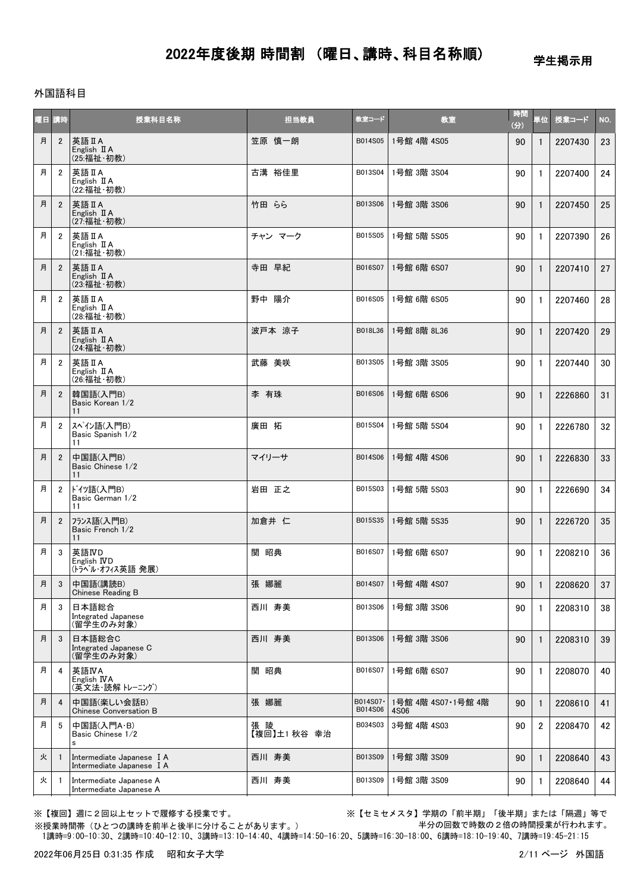学生掲示用

#### 外国語科目

|   | 曜日 講時          | 授業科目名称                                                 | 担当教員                | 教室コード               | 教室                         | 時間<br>(3) | 単位             | 授業コード   | NO. |
|---|----------------|--------------------------------------------------------|---------------------|---------------------|----------------------------|-----------|----------------|---------|-----|
| 月 | $\overline{2}$ | 英語 II A<br>English II A<br>(25:福祉·初教)                  | 笠原 慎一朗              | B014S05             | 1号館 4階 4S05                | 90        | $\mathbf{1}$   | 2207430 | 23  |
| 月 | $\overline{2}$ | 英語IIA<br>English II A<br>(22:福祉·初教)                    | 古溝 裕佳里              | B013S04             | 1号館 3階 3S04                | 90        | $\mathbf{1}$   | 2207400 | 24  |
| 月 | $\overline{2}$ | 英語IIA<br>English II A<br>(27:福祉·初教)                    | 竹田 らら               | B013S06             | 1号館 3階 3S06                | 90        | $\mathbf{1}$   | 2207450 | 25  |
| 月 | $\overline{2}$ | 英語 II A<br>English II A<br>(21:福祉·初教)                  | チャン マーク             | B015S05             | 1号館 5階 5S05                | 90        | $\mathbf{1}$   | 2207390 | 26  |
| 月 | $\overline{2}$ | 英語 II A<br>English II A<br>(23:福祉·初教)                  | 寺田 早紀               | B016S07             | 1号館 6階 6S07                | 90        | $\mathbf{1}$   | 2207410 | 27  |
| 月 | $\overline{2}$ | 英語IA<br>English II A<br>(28:福祉·初教)                     | 野中 陽介               | B016S05             | 1号館 6階 6S05                | 90        | $\mathbf{1}$   | 2207460 | 28  |
| 月 | $\overline{2}$ | 英語 II A<br>English II A<br>(24:福祉·初教)                  | 波戸本 涼子              | B018L36             | 1号館 8階 8L36                | 90        | $\mathbf{1}$   | 2207420 | 29  |
| 月 | $\overline{2}$ | 英語IA<br>English II A<br>(26:福祉·初教)                     | 武藤 美咲               | B013S05             | 1号館 3階 3S05                | 90        | $\mathbf{1}$   | 2207440 | 30  |
| 月 | $\overline{2}$ | 韓国語(入門B)<br>Basic Korean 1/2<br>11                     | 李 有珠                | B016S06             | 1号館 6階 6S06                | 90        | $\mathbf{1}$   | 2226860 | 31  |
| 月 | $\overline{2}$ | スペイン語(入門B)<br>Basic Spanish 1/2<br>11                  | 廣田 拓                | B015S04             | 1号館 5階 5S04                | 90        | $\mathbf{1}$   | 2226780 | 32  |
| 月 | $\overline{2}$ | 中国語(入門B)<br>Basic Chinese 1/2<br>11                    | マイリーサ               | B014S06             | 1号館 4階 4S06                | 90        | $\mathbf{1}$   | 2226830 | 33  |
| 月 | $\overline{2}$ | ドイツ語(入門B)<br>Basic German 1/2<br>11                    | 岩田 正之               | B015S03             | 1号館 5階 5S03                | 90        | $\mathbf{1}$   | 2226690 | 34  |
| 月 | $\overline{2}$ | フランス語(入門B)<br>Basic French 1/2<br>11                   | 加倉井 仁               | B015S35             | 1号館 5階 5S35                | 90        | $\mathbf{1}$   | 2226720 | 35  |
| 月 | 3              | 英語IVD<br>English IVD<br>(トラベル・オフィス英語発展)                | 関 昭典                | B016S07             | 1号館 6階 6S07                | 90        | $\mathbf{1}$   | 2208210 | 36  |
| 月 | $\mathbf{3}$   | 中国語(講読B)<br>Chinese Reading B                          | 張 娜麗                |                     | B014S07 1号館 4階 4S07        | 90        | $\vert$ 1      | 2208620 | 37  |
| 月 | 3              | 日本語総合<br>Integrated Japanese<br>(留学生のみ対象)              | 西川 寿美               | B013S06             | 1号館 3階 3S06                | 90        | 1              | 2208310 | 38  |
| 月 | 3              | 日本語総合C<br>Integrated Japanese C<br>(留学生のみ対象)           | 西川 寿美               | B013S06             | 1号館 3階 3S06                | 90        | $\mathbf{1}$   | 2208310 | 39  |
| 月 | 4              | 英語IVA<br>English IVA<br>(英文法・読解 トレーニング)                | 関 昭典                | B016S07             | 1号館 6階 6S07                | 90        | 1              | 2208070 | 40  |
| 月 | $\overline{4}$ | 中国語(楽しい会話B)<br><b>Chinese Conversation B</b>           | 張 娜麗                | B014S07·<br>B014S06 | 1号館 4階 4S07·1号館 4階<br>4S06 | 90        | $\mathbf{1}$   | 2208610 | 41  |
| 月 | 5              | 中国語(入門A·B)<br>Basic Chinese 1/2<br>Ś                   | 張 陵<br>【複回】土1 秋谷 幸治 | B034S03             | 3号館 4階 4S03                | 90        | $\overline{2}$ | 2208470 | 42  |
| 火 |                | Intermediate Japanese I A<br>Intermediate Japanese I A | 西川 寿美               | B013S09             | 1号館 3階 3S09                | 90        | $\mathbf{1}$   | 2208640 | 43  |
| 火 |                | Intermediate Japanese A<br>Intermediate Japanese A     | 西川 寿美               | B013S09             | 1号館 3階 3S09                | 90        | $\mathbf{1}$   | 2208640 | 44  |

※【複回】週に2回以上セットで履修する授業です。 ※【セミセメスタ】学期の「前半期」「後半期」または「隔週」等で 半分の回数で時数の2倍の時間授業が行われます。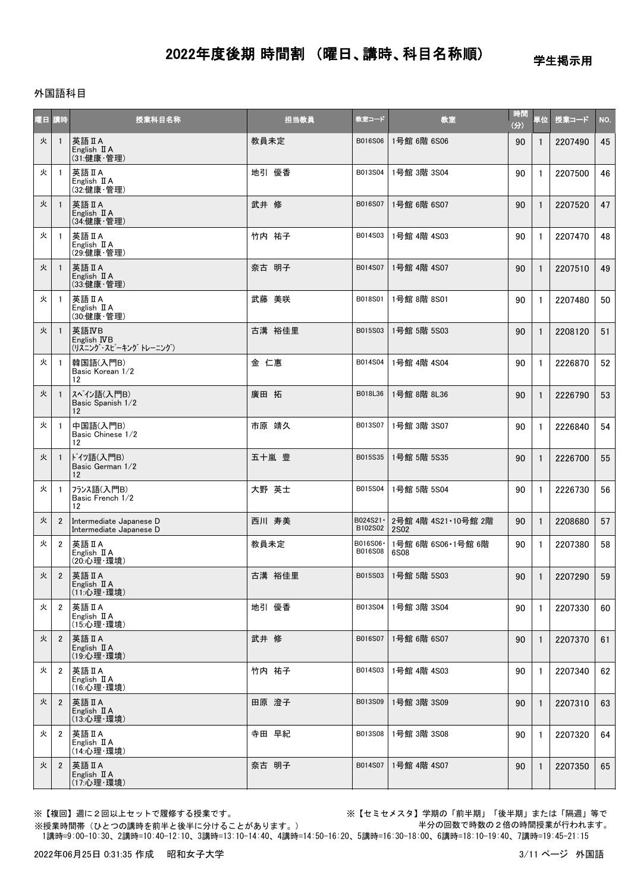学生掲示用

### 外国語科目

| 曜日 | 請時             | 授業科目名称                                             | 担当教員   | 教室コード                | 教室                                 | 時間<br>(3) | 単位           | 授業コード   | NO. |
|----|----------------|----------------------------------------------------|--------|----------------------|------------------------------------|-----------|--------------|---------|-----|
| 火  | $\overline{1}$ | 英語 II A<br>English II A<br>(31:健康·管理)              | 教員未定   | B016S06              | 1号館 6階 6S06                        | 90        | $\mathbf{1}$ | 2207490 | 45  |
| 火  | $\overline{1}$ | 英語 II A<br>English II A<br>(32:健康·管理)              | 地引 優香  | B013S04              | 1号館 3階 3S04                        | 90        | $\mathbf{1}$ | 2207500 | 46  |
| 火  | -1             | 英語 II A<br>English II A<br>(34:健康·管理)              | 武井 修   | B016S07              | 1号館 6階 6S07                        | 90        | $\mathbf{1}$ | 2207520 | 47  |
| 火  | $\overline{1}$ | 英語 II A<br>English $\mathbb{I}$ A<br>(29:健康·管理)    | 竹内 祐子  | B014S03              | 1号館 4階 4S03                        | 90        | 1            | 2207470 | 48  |
| 火  | -1             | 英語IA<br>English $\mathbb I$ A<br>(33:健康·管理)        | 奈古 明子  | B014S07              | 1号館 4階 4S07                        | 90        | $\mathbf{1}$ | 2207510 | 49  |
| 火  | $\overline{1}$ | 英語 II A<br>English $\mathbb I$ A<br>(30:健康·管理)     | 武藤 美咲  | B018S01              | 1号館 8階 8S01                        | 90        | $\mathbf{1}$ | 2207480 | 50  |
| 火  | $\overline{1}$ | 英語IVB<br>English IVB<br>(リスニング・スピーキング トレーニング)      | 古溝 裕佳里 | B015S03              | 1号館 5階 5S03                        | 90        | $\mathbf{1}$ | 2208120 | 51  |
| 火  | $\overline{1}$ | 韓国語(入門B)<br>Basic Korean 1/2<br>12                 | 金 仁惠   | B014S04              | 1号館 4階 4S04                        | 90        | $\mathbf{1}$ | 2226870 | 52  |
| 火  | -1             | スペイン語(入門B)<br>Basic Spanish 1/2<br>12              | 廣田 拓   | B018L36              | 1号館 8階 8L36                        | 90        | $\mathbf{1}$ | 2226790 | 53  |
| 火  | $\overline{1}$ | 中国語(入門B)<br>Basic Chinese 1/2<br>12                | 市原 靖久  | B013S07              | 1号館 3階 3S07                        | 90        | $\mathbf{1}$ | 2226840 | 54  |
| 火  | $\overline{1}$ | ドイツ語(入門B)<br>Basic German 1/2<br>12                | 五十嵐 豊  | B015S35              | 1号館 5階 5S35                        | 90        | $\mathbf{1}$ | 2226700 | 55  |
| 火  | $\overline{1}$ | フランス語(入門B)<br>Basic French 1/2<br>12               | 大野 英士  | B015S04              | 1号館 5階 5S04                        | 90        | $\mathbf{1}$ | 2226730 | 56  |
| 火  | $\overline{2}$ | Intermediate Japanese D<br>Intermediate Japanese D | 西川 寿美  | B024S21 ·<br>B102S02 | 2号館 4階 4S21·10号館 2階<br><b>2S02</b> | 90        | $\mathbf{1}$ | 2208680 | 57  |
| 火  | $\overline{2}$ | 英語 II A<br>English II A<br>(20:心理·環境)              | 教員未定   | B016S06·<br>B016S08  | 1号館 6階 6S06・1号館 6階<br>6S08         | 90        | $\mathbf{1}$ | 2207380 | 58  |
| 火  | $\overline{2}$ | 英語 II A<br>English II A<br>(11:心理·環境)              | 古溝 裕佳里 | B015S03              | 1号館 5階 5S03                        | 90        | $\mathbf{1}$ | 2207290 | 59  |
| 火  | $\overline{2}$ | 英語 II A<br>English $\mathbb I$ A<br>(15:心理·環境)     | 地引 優香  | B013S04              | 1号館 3階 3S04                        | 90        | 1            | 2207330 | 60  |
| 火  | $\overline{2}$ | 英語IA<br>English $\mathbb I$ A<br>(19:心理·環境)        | 武井 修   | B016S07              | 1号館 6階 6S07                        | 90        | $\mathbf{1}$ | 2207370 | 61  |
| 火  | $\overline{2}$ | 英語IA<br>English $\mathbb I$ A<br>(16:心理·環境)        | 竹内 祐子  | B014S03              | 1号館 4階 4S03                        | 90        | 1            | 2207340 | 62  |
| 火  | $\overline{2}$ | 英語 II A<br>English $\mathbb I$ A<br>(13:心理·環境)     | 田原 澄子  | B013S09              | 1号館 3階 3S09                        | 90        | $\mathbf{1}$ | 2207310 | 63  |
| 火  | 2              | 英語IIA<br>English $\mathbb I$ A<br>(14:心理·環境)       | 寺田 早紀  | B013S08              | 1号館 3階 3S08                        | 90        | 1            | 2207320 | 64  |
| 火  | $\overline{2}$ | 英語 II A<br>English $\mathbb{I}$ A<br>(17:心理·環境)    | 奈古 明子  | B014S07              | 1号館 4階 4S07                        | 90        | 1            | 2207350 | 65  |

※【複回】週に2回以上セットで履修する授業です。 ※【セミセメスタ】学期の「前半期」「後半期」または「隔週」等で 半分の回数で時数の2倍の時間授業が行われます。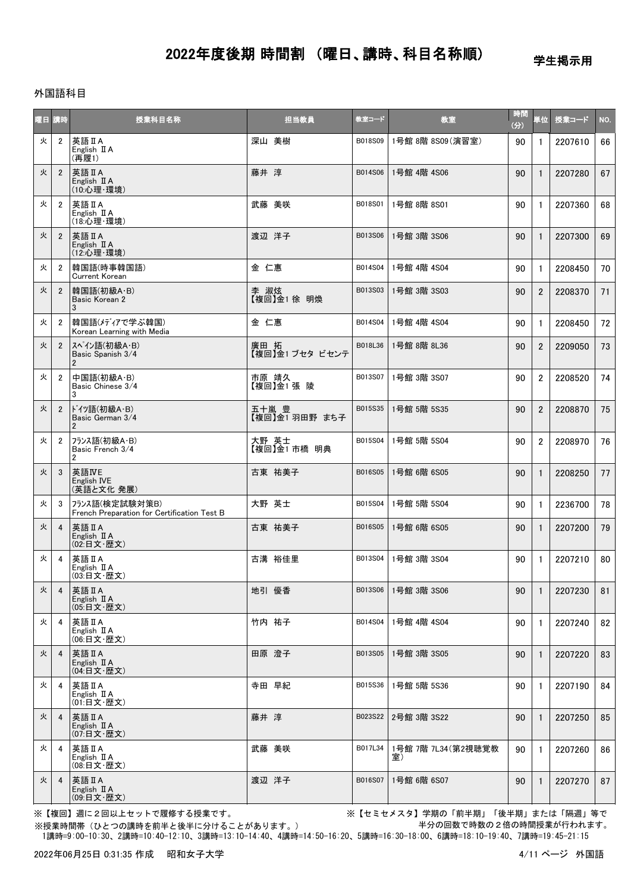学生掲示用

### 外国語科目

| 阳目 | 「時             | 授業科目名称                                                        | 担当教員                    | 教室コード   | 教室                       | 時間<br>(分) | 単位             | 授業コード   | NO. |
|----|----------------|---------------------------------------------------------------|-------------------------|---------|--------------------------|-----------|----------------|---------|-----|
| 火  | $\overline{2}$ | 英語IA<br>English II A<br>(再履1)                                 | 深山 美樹                   | B018S09 | 1号館 8階 8S09(演習室)         | 90        | $\mathbf{1}$   | 2207610 | 66  |
| 火  | $\overline{2}$ | 英語 II A<br>English II A<br>(10: 心理·環境)                        | 藤井 淳                    | B014S06 | 1号館 4階 4S06              | 90        | $\mathbf{1}$   | 2207280 | 67  |
| 火  | $\overline{2}$ | 英語 II A<br>English II A<br>(18:心理·環境)                         | 武藤 美咲                   | B018S01 | 1号館 8階 8S01              | 90        | $\mathbf{1}$   | 2207360 | 68  |
| 火  | $\overline{2}$ | 英語 II A<br>English II A<br>(12: 心理·環境)                        | 渡辺 洋子                   | B013S06 | 1号館 3階 3S06              | 90        | $\mathbf{1}$   | 2207300 | 69  |
| 火  | $\overline{2}$ | 韓国語(時事韓国語)<br><b>Current Korean</b>                           | 金 仁惠                    | B014S04 | 1号館 4階 4S04              | 90        | $\mathbf{1}$   | 2208450 | 70  |
| 火  | $\overline{2}$ | 韓国語(初級A·B)<br>Basic Korean 2<br>3                             | 李 淑炫<br>【複回】金1 徐 明煥     | B013S03 | 1号館 3階 3S03              | 90        | $\overline{2}$ | 2208370 | 71  |
| 火  | $\overline{2}$ | 韓国語(メディアで学ぶ韓国)<br>Korean Learning with Media                  | 金 仁惠                    | B014S04 | 1号館 4階 4S04              | 90        | $\mathbf{1}$   | 2208450 | 72  |
| 火  | $\overline{2}$ | スペイン語(初級A·B)<br>Basic Spanish 3/4<br>$\overline{2}$           | 廣田 拓<br>【複回】金1 ブセタ ビセンテ | B018L36 | 1号館 8階 8L36              | 90        | $\overline{2}$ | 2209050 | 73  |
| 火  | $\overline{2}$ | 中国語(初級A·B)<br>Basic Chinese 3/4<br>3                          | 市原 靖久<br>【複回】金1張陵       | B013S07 | 1号館 3階 3S07              | 90        | $\overline{2}$ | 2208520 | 74  |
| 火  | $\overline{2}$ | ドイツ語(初級A·B)<br>Basic German 3/4<br>$\overline{2}$             | 五十嵐 豊<br>【複回】金1羽田野 まち子  | B015S35 | 1号館 5階 5S35              | 90        | $\overline{2}$ | 2208870 | 75  |
| 火  | $\overline{2}$ | フランス語(初級A·B)<br>Basic French 3/4<br>$\overline{2}$            | 大野 英士<br>【複回】金1 市橋 明典   | B015S04 | 1号館 5階 5S04              | 90        | $\overline{2}$ | 2208970 | 76  |
| 火  | 3              | 英語IVE<br>English IVE<br>(英語と文化 発展)                            | 古東 祐美子                  | B016S05 | 1号館 6階 6S05              | 90        | $\mathbf{1}$   | 2208250 | 77  |
| 火  | 3              | フランス語(検定試験対策B)<br>French Preparation for Certification Test B | 大野 英士                   | B015S04 | 1号館 5階 5S04              | 90        | $\mathbf{1}$   | 2236700 | 78  |
| 火  | 4              | 英語 II A<br>English II A<br>(02:日文·歴文)                         | 古東 祐美子                  | B016S05 | 1号館 6階 6S05              | 90        | $\mathbf{1}$   | 2207200 | 79  |
| 火  | 4              | 英語 II A<br>English II A<br>(03:日文·歴文)                         | 古溝 裕佳里                  | B013S04 | 1号館 3階 3S04              | 90        | $\mathbf{1}$   | 2207210 | 80  |
| 火  | 4              | 英語 II A<br>English $\mathbb I$ A<br>(05:日文·歴文)                | 地引 優香                   | B013S06 | 1号館 3階 3S06              | 90        | 1              | 2207230 | 81  |
| 火  | 4              | 英語 II A<br>English II A<br>(06:日文·歴文)                         | 竹内 祐子                   | B014S04 | 1号館 4階 4S04              | 90        | $\mathbf{1}$   | 2207240 | 82  |
| 火  | 4              | 英語IA<br>English II A<br>(04:日文·歴文)                            | 田原 澄子                   | B013S05 | 1号館 3階 3S05              | 90        | $\mathbf{1}$   | 2207220 | 83  |
| 火  | 4              | 英語 II A<br>English $\mathbb I$ A<br>(01:日文·歴文)                | 寺田 早紀                   | B015S36 | 1号館 5階 5S36              | 90        | $\mathbf{1}$   | 2207190 | 84  |
| 火  | 4              | 英語IA<br>English $\mathbb I$ A<br>(07:日文·歴文)                   | 藤井 淳                    | B023S22 | 2号館 3階 3S22              | 90        | $\mathbf{1}$   | 2207250 | 85  |
| 火  | 4              | 英語 II A<br>English II A<br>(08:日文·歴文)                         | 武藤 美咲                   | B017L34 | 1号館 7階 7L34(第2視聴覚教<br>室) | 90        | $\mathbf{1}$   | 2207260 | 86  |
| 火  | 4              | 英語IA<br>English II A<br>(09:日文·歴文)                            | 渡辺 洋子                   | B016S07 | 1号館 6階 6S07              | 90        | $\mathbf{1}$   | 2207270 | 87  |

※【複回】週に2回以上セットで履修する授業です。 ※【セミセメスタ】学期の「前半期」「後半期」または「隔週」等で 半分の回数で時数の2倍の時間授業が行われます。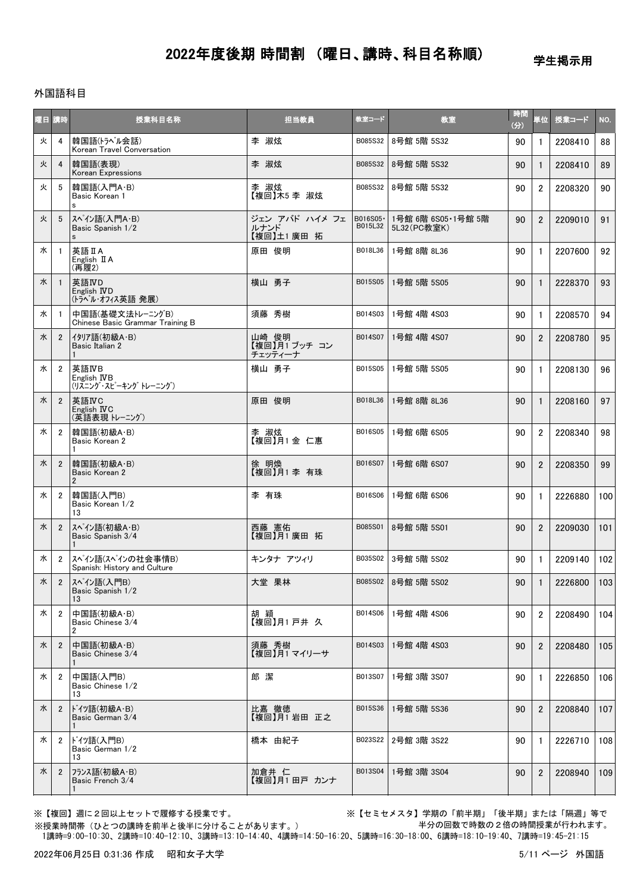学生掲示用

### 外国語科目

| 曜日 | 請時             | 授業科目名称                                               | 担当教員                                | 教室コード                | 教室                                | 時間<br>$\langle \hat{\mathbf{H}} \rangle$ | 単位             | 授業コード   | NO. |
|----|----------------|------------------------------------------------------|-------------------------------------|----------------------|-----------------------------------|------------------------------------------|----------------|---------|-----|
| 火  | $\overline{4}$ | 韓国語(トラベル会話)<br>Korean Travel Conversation            | 李 淑炫                                | B085S32              | 8号館 5階 5S32                       | 90                                       | 1              | 2208410 | 88  |
| 火  | $\overline{4}$ | 韓国語(表現)<br>Korean Expressions                        | 李 淑炫                                | B085S32              | 8号館 5階 5S32                       | 90                                       | $\mathbf{1}$   | 2208410 | 89  |
| 火  | 5              | 韓国語(入門A·B)<br>Basic Korean 1<br>s                    | 李 淑炫<br>【複回】木5 李 淑炫                 | B085S32              | 8号館 5階 5S32                       | 90                                       | $\overline{2}$ | 2208320 | 90  |
| 火  | 5              | スペイン語(入門A·B)<br>Basic Spanish 1/2<br>$\mathsf{s}$    | ジェン アバド ハイメ フェ<br>ルナンド<br>【複回】土1廣田拓 | B016S05 ·<br>B015L32 | 1号館 6階 6S05·1号館 5階<br>5L32(PC教室K) | 90                                       | $\overline{2}$ | 2209010 | 91  |
| 水  | $\overline{1}$ | 英語 II A<br>English II A<br>(再履2)                     | 原田 俊明                               | B018L36              | 1号館 8階 8L36                       | 90                                       | $\mathbf{1}$   | 2207600 | 92  |
| 水  | $\overline{1}$ | 英語IVD<br>English IVD<br>(トラベル・オフィス英語発展)              | 横山 勇子                               | B015S05              | 1号館 5階 5S05                       | 90                                       | 1              | 2228370 | 93  |
| 水  | $\overline{1}$ | 中国語(基礎文法トレーニングB)<br>Chinese Basic Grammar Training B | 須藤 秀樹                               | B014S03              | 1号館 4階 4S03                       | 90                                       | $\mathbf{1}$   | 2208570 | 94  |
| 水  | $\overline{2}$ | イタリア語(初級A・B)<br>Basic Italian 2<br>$\mathbf 1$       | 山崎 俊明<br>【複回】月1 ブッチ コン<br>チェッティーナ   | B014S07              | 1号館 4階 4S07                       | 90                                       | $\overline{2}$ | 2208780 | 95  |
| 水  | $\overline{2}$ | 英語IVB<br>English IVB<br>(リスニング・スピーキング トレーニング)        | 横山 勇子                               | B015S05              | 1号館 5階 5S05                       | 90                                       | 1              | 2208130 | 96  |
| 水  | $\mathbf{2}$   | 英語IVC<br>English IVC<br>(英語表現 トレーニング)                | 原田 俊明                               | B018L36              | 1号館 8階 8L36                       | 90                                       | $\mathbf{1}$   | 2208160 | 97  |
| 水  | $\overline{2}$ | 韓国語(初級A·B)<br>Basic Korean 2                         | 李 淑炫<br>【複回】月1金 仁惠                  | B016S05              | 1号館 6階 6S05                       | 90                                       | $\overline{2}$ | 2208340 | 98  |
| 水  | $\overline{2}$ | 韓国語(初級A·B)<br>Basic Korean 2<br>$\overline{2}$       | 徐 明煥<br>【複回】月1 李 有珠                 | B016S07              | 1号館 6階 6S07                       | 90                                       | $\overline{2}$ | 2208350 | 99  |
| 水  | $\overline{2}$ | 韓国語(入門B)<br>Basic Korean 1/2<br>13                   | 李 有珠                                | B016S06              | 1号館 6階 6S06                       | 90                                       | $\mathbf{1}$   | 2226880 | 100 |
| 水  | $\overline{2}$ | スペイン語(初級A・B)<br>Basic Spanish 3/4                    | 西藤 憲佑<br>【複回】月1廣田 拓                 | B085S01              | 8号館 5階 5S01                       | 90                                       | $\overline{2}$ | 2209030 | 101 |
| 水  | $\overline{2}$ | スペイン語(スペインの社会事情B)<br>Spanish: History and Culture    | キンタナ アツィリ                           | B035S02              | 3号館 5階 5S02                       | 90                                       | $\mathbf{1}$   | 2209140 | 102 |
| 水  |                | 2   スペ゚イン語(入門B)<br>Basic Spanish 1/2<br>13           | 大堂 果林                               |                      | B085S02 8号館 5階 5S02               | 90                                       | $\overline{1}$ | 2226800 | 103 |
| 水  | $\overline{2}$ | 中国語(初級A·B)<br>Basic Chinese 3/4<br>2                 | 胡 穎<br>【複回】月1 戸井 久                  | B014S06              | 1号館 4階 4S06                       | 90                                       | $\overline{2}$ | 2208490 | 104 |
| 水  | $\overline{2}$ | 中国語(初級A·B)<br>Basic Chinese 3/4<br>1                 | 須藤 秀樹<br>【複回】月1マイリーサ                | B014S03              | 1号館 4階 4S03                       | 90                                       | $\overline{2}$ | 2208480 | 105 |
| 水  | $\overline{2}$ | 中国語(入門B)<br>Basic Chinese 1/2<br>13                  | 郎潔                                  | B013S07              | 1号館 3階 3S07                       | 90                                       | 1              | 2226850 | 106 |
| 水  | $\overline{2}$ | ドイツ語(初級A・B)<br>Basic German 3/4<br>1                 | 比嘉 徹徳<br>【複回】月1 岩田 正之               | B015S36              | 1号館 5階 5S36                       | 90                                       | $\overline{2}$ | 2208840 | 107 |
| 水  | $\overline{2}$ | ドイツ語(入門B)<br>Basic German 1/2<br>13                  | 橋本 由紀子                              | B023S22              | 2号館 3階 3S22                       | 90                                       | 1              | 2226710 | 108 |
| 水  | $\overline{2}$ | フランス語(初級A・B)<br>Basic French 3/4                     | 加倉井 仁<br>【複回】月1 田戸 カンナ              | B013S04              | 1号館 3階 3S04                       | 90                                       | $\overline{2}$ | 2208940 | 109 |

※【複回】週に2回以上セットで履修する授業です。 ※【セミセメスタ】学期の「前半期」「後半期」または「隔週」等で 半分の回数で時数の2倍の時間授業が行われます。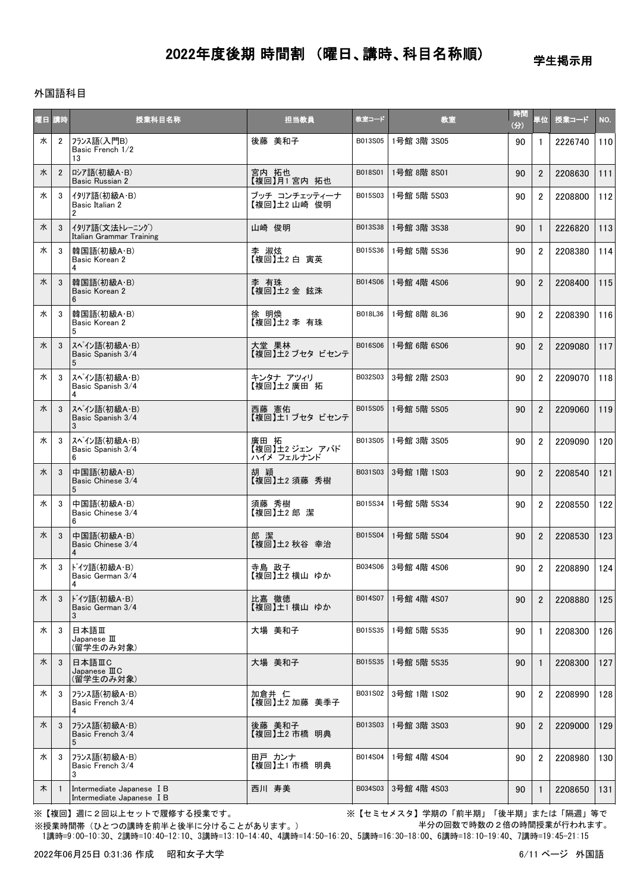学生掲示用

### 外国語科目

| 曜日 講時 |                | 授業科目名称                                                 | 担当教員                                 | 教室コード   | 教室          | 時間<br>(分) | 単位             | 授業コード   | NO. |
|-------|----------------|--------------------------------------------------------|--------------------------------------|---------|-------------|-----------|----------------|---------|-----|
| 水     | $\overline{2}$ | フランス語(入門B)<br>Basic French 1/2<br>13                   | 後藤 美和子                               | B013S05 | 1号館 3階 3S05 | 90        | 1              | 2226740 | 110 |
| 水     | $\overline{2}$ | ロシア語(初級A·B)<br>Basic Russian 2                         | 宮内 拓也<br>【複回】月1宮内 拓也                 | B018S01 | 1号館 8階 8S01 | 90        | $\overline{2}$ | 2208630 | 111 |
| 水     | 3              | イタリア語(初級A・B)<br>Basic Italian 2<br>$\overline{2}$      | ブッチ コンチェッティーナ<br>【複回】土2山崎 俊明         | B015S03 | 1号館 5階 5S03 | 90        | $\overline{2}$ | 2208800 | 112 |
| 水     | 3              | イタリア語(文法トレーニング)<br>Italian Grammar Training            | 山崎 俊明                                | B013S38 | 1号館 3階 3S38 | 90        | $\mathbf{1}$   | 2226820 | 113 |
| 水     | 3              | 韓国語(初級A·B)<br>Basic Korean 2<br>4                      | 李 淑炫<br>【複回】土2白 寅英                   | B015S36 | 1号館 5階 5S36 | 90        | $\overline{2}$ | 2208380 | 114 |
| 水     | 3              | 韓国語(初級A·B)<br>Basic Korean 2<br>6                      | 李 有珠<br>【複回】土2金 鉉洙                   | B014S06 | 1号館 4階 4S06 | 90        | $\overline{2}$ | 2208400 | 115 |
| 水     | 3              | 韓国語(初級A·B)<br>Basic Korean 2<br>5                      | 徐 明煥<br>【複回】土2 李 有珠                  | B018L36 | 1号館 8階 8L36 | 90        | $\overline{2}$ | 2208390 | 116 |
| 水     | 3              | スペイン語(初級A・B)<br>Basic Spanish 3/4<br>5                 | 大堂 果林<br>【複回】土2 ブセタ ビセンテ             | B016S06 | 1号館 6階 6S06 | 90        | $\overline{2}$ | 2209080 | 117 |
| 水     | 3              | スペイン語(初級A·B)<br>Basic Spanish 3/4<br>4                 | キンタナ アツィリ<br>【複回】土2廣田拓               | B032S03 | 3号館 2階 2S03 | 90        | $\overline{2}$ | 2209070 | 118 |
| 水     | 3              | スペイン語(初級A·B)<br>Basic Spanish 3/4<br>3                 | 西藤 憲佑<br>【複回】土1 ブセタ ビセンテ             | B015S05 | 1号館 5階 5S05 | 90        | $\overline{2}$ | 2209060 | 119 |
| 水     | 3              | スペイン語(初級A·B)<br>Basic Spanish 3/4<br>6                 | 廣田 拓<br>【複回】王2 ジェン アバド<br>ハイメ フェルナンド | B013S05 | 1号館 3階 3S05 | 90        | $\overline{2}$ | 2209090 | 120 |
| 水     | 3              | 中国語(初級A·B)<br>Basic Chinese 3/4<br>5                   | 胡 穎<br>【複回】土2 須藤 秀樹                  | B031S03 | 3号館 1階 1S03 | 90        | $\overline{2}$ | 2208540 | 121 |
| 水     | 3              | 中国語(初級A·B)<br>Basic Chinese 3/4<br>6                   | 須藤 秀樹<br>【複回】土2郎 潔                   | B015S34 | 1号館 5階 5S34 | 90        | $\overline{2}$ | 2208550 | 122 |
| 水     | 3              | 中国語(初級A·B)<br>Basic Chinese 3/4<br>4                   | 郎 潔<br>【複回】土2 秋谷 幸治                  | B015S04 | 1号館 5階 5S04 | 90        | $\overline{2}$ | 2208530 | 123 |
| 水     | 3              | ドイツ語(初級A・B)<br>Basic German 3/4                        | 寺島 政子<br>【複回】土2 横山 ゆか                | B034S06 | 3号館 4階 4S06 | 90        | $\overline{2}$ | 2208890 | 124 |
| 水     | 3              | ドイツ語(初級A・B)<br>Basic German 3/4<br>3                   | 比嘉 徹徳<br>【複回】土1 横山 ゆか                | B014S07 | 1号館 4階 4S07 | 90        | $\overline{2}$ | 2208880 | 125 |
| 水     | 3              | 日本語Ⅲ<br>Japanese $\rm I\!I\!I$<br>(留学生のみ対象)            | 大場 美和子                               | B015S35 | 1号館 5階 5S35 | 90        | 1              | 2208300 | 126 |
| 水     | 3              | 日本語ⅢC<br>Japanese $I\mathbb{I} C$<br>(留学生のみ対象)         | 大場 美和子                               | B015S35 | 1号館 5階 5S35 | 90        | $\mathbf{1}$   | 2208300 | 127 |
| 水     | 3              | フランス語(初級A・B)<br>Basic French 3/4<br>4                  | 加倉井 仁<br>【複回】土2 加藤 美季子               | B031S02 | 3号館 1階 1S02 | 90        | $\overline{2}$ | 2208990 | 128 |
| 水     | 3              | フランス語(初級A・B)<br>Basic French 3/4<br>5                  | 後藤 美和子<br>【複回】土2 市橋 明典               | B013S03 | 1号館 3階 3S03 | 90        | $\overline{2}$ | 2209000 | 129 |
| 水     | 3              | フランス語(初級A・B)<br>Basic French 3/4<br>3                  | 田戸 カンナ<br>【複回】土1 市橋 明典               | B014S04 | 1号館 4階 4S04 | 90        | 2              | 2208980 | 130 |
| 木     | $\overline{1}$ | Intermediate Japanese I B<br>Intermediate Japanese I B | 西川 寿美                                | B034S03 | 3号館 4階 4S03 | 90        | $\mathbf{1}$   | 2208650 | 131 |

※【複回】週に2回以上セットで履修する授業です。 ※【セミセメスタ】学期の「前半期」「後半期」または「隔週」等で 半分の回数で時数の2倍の時間授業が行われます。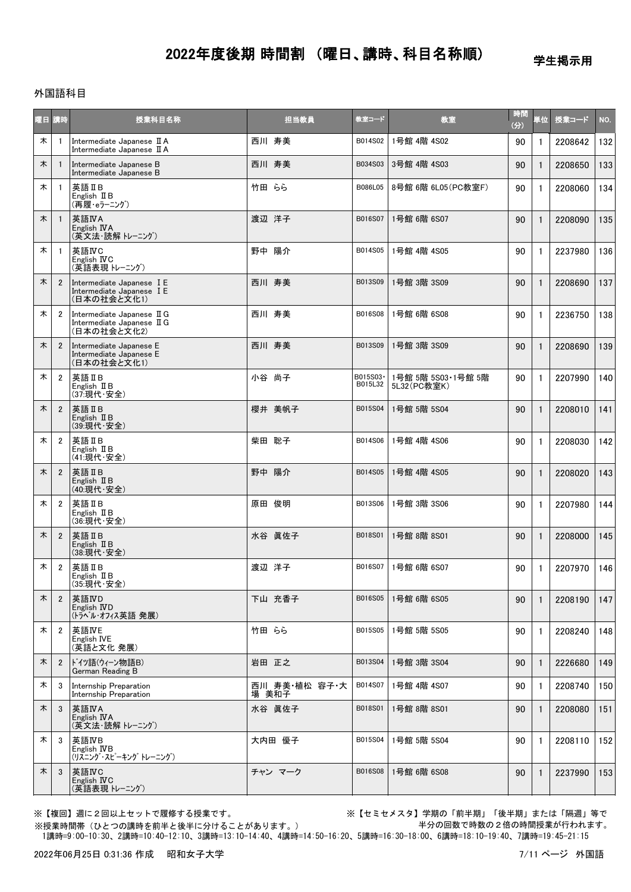#### 学生掲示用

### 外国語科目

| 曜日 | 【時                      | 授業科目名称                                                                  | 担当教員                   | 教室コード               | 教室                                | 時間<br>(分) | 単位∥          | 授業コード   | NO. |
|----|-------------------------|-------------------------------------------------------------------------|------------------------|---------------------|-----------------------------------|-----------|--------------|---------|-----|
| 木  | $\mathbf{1}$            | Intermediate Japanese II A<br>Intermediate Japanese II A                | 西川 寿美                  | B014S02             | 1号館 4階 4S02                       | 90        | 1            | 2208642 | 132 |
| 木  | $\mathbf{1}$            | Intermediate Japanese B<br>Intermediate Japanese B                      | 西川 寿美                  | B034S03             | 3号館 4階 4S03                       | 90        | $\mathbf{1}$ | 2208650 | 133 |
| 木  | $\mathbf{1}$            | 英語 IIB<br>English $I\!I B$<br>(再履・eラーニング)                               | 竹田 らら                  | B086L05             | 8号館 6階 6L05 (PC教室F)               | 90        |              | 2208060 | 134 |
| 木  | $\overline{1}$          | 英語IVA<br>English IVA<br>(英文法・読解 トレーニング)                                 | 渡辺 洋子                  | B016S07             | 1号館 6階 6S07                       | 90        |              | 2208090 | 135 |
| 木  | $\mathbf{1}$            | 英語IVC<br>English IVC<br>(英語表現 トレーニング)                                   | 野中 陽介                  | B014S05             | 1号館 4階 4S05                       | 90        |              | 2237980 | 136 |
| 木  | $\overline{2}$          | Intermediate Japanese I E<br>Intermediate Japanese I E<br>(日本の社会と文化1)   | 西川 寿美                  | B013S09             | 1号館 3階 3S09                       | 90        |              | 2208690 | 137 |
| 木  | $\overline{2}$          | Intermediate Japanese II G<br>Intermediate Japanese II G<br>(日本の社会と文化2) | 西川 寿美                  | B016S08             | 1号館 6階 6S08                       | 90        |              | 2236750 | 138 |
| 木  | $\overline{2}$          | Intermediate Japanese E<br>Intermediate Japanese E<br>(日本の社会と文化1)       | 西川 寿美                  | B013S09             | 1号館 3階 3S09                       | 90        |              | 2208690 | 139 |
| 木  | $\overline{2}$          | 英語IB<br>English $I\!I B$<br>(37:現代·安全)                                  | 小谷 尚子                  | B015S03-<br>B015L32 | 1号館 5階 5S03·1号館 5階<br>5L32(PC教室K) | 90        |              | 2207990 | 140 |
| 木  | $\overline{2}$          | 英語 II B<br>English $I\!I B$<br>(39:現代·安全)                               | 櫻井 美帆子                 | B015S04             | 1号館 5階 5S04                       | 90        |              | 2208010 | 141 |
| 木  | $\overline{2}$          | 英語 II B<br>English $I\!I B$<br>(41:現代·安全)                               | 柴田 聡子                  | B014S06             | 1号館 4階 4S06                       | 90        | -1           | 2208030 | 142 |
| 木  | $\overline{2}$          | 英語 II B<br>English $I\!I B$<br>(40:現代·安全)                               | 野中<br>陽介               | B014S05             | 1号館 4階 4S05                       | 90        |              | 2208020 | 143 |
| 木  | 2                       | 英語 IIB<br>English $I\!I B$<br>(36:現代·安全)                                | 原田 俊明                  | B013S06             | 1号館 3階 3S06                       | 90        | -1           | 2207980 | 144 |
| 木  | $\overline{2}$          | 英語ⅡB<br>English II B<br>(38:現代·安全)                                      | 水谷 眞佐子                 | B018S01             | 1号館 8階 8S01                       | 90        |              | 2208000 | 145 |
| 木  | $\overline{\mathbf{2}}$ | 英語 II B<br>English $\mathbb I$ B<br>(35:現代·安全)                          | 渡辺 洋子                  | B016S07             | 1号館 6階 6S07                       | 90        | -1           | 2207970 | 146 |
| 木  | $\overline{2}$          | 英語IVD<br>English <b>ND</b><br>(トラベル・オフィス英語 発展)                          | 下山 充香子                 | B016S05             | 1号館 6階 6S05                       | 90        | $\mathbf{1}$ | 2208190 | 147 |
| 木  | $\overline{2}$          | 英語IVE<br>English IVE<br>(英語と文化 発展)                                      | 竹田 らら                  | B015S05             | 1号館 5階 5S05                       | 90        |              | 2208240 | 148 |
| 木  | $\overline{2}$          | ドイツ語(ウィーン物語B)<br>German Reading B                                       | 岩田 正之                  | B013S04             | 1号館 3階 3S04                       | 90        | -1           | 2226680 | 149 |
| 木  | 3                       | Internship Preparation<br>Internship Preparation                        | 西川 寿美·植松 容子·大<br>場 美和子 | B014S07             | 1号館 4階 4S07                       | 90        | 1            | 2208740 | 150 |
| 木  | 3                       | 英語IVA<br>English IVA<br>(英文法・読解 トレーニング)                                 | 水谷 眞佐子                 | B018S01             | 1号館 8階 8S01                       | 90        |              | 2208080 | 151 |
| 木  | 3                       | 英語IVB<br>English <b>IVB</b><br>(リスニング・スピーキング トレーニング)                    | 大内田 優子                 | B015S04             | 1号館 5階 5S04                       | 90        | -1           | 2208110 | 152 |
| 木  | 3                       | 英語IVC<br>English IVC<br>(英語表現 トレーニング)                                   | チャン マーク                | B016S08             | 1号館 6階 6S08                       | 90        |              | 2237990 | 153 |

※【複回】週に2回以上セットで履修する授業です。 ※【セミセメスタ】学期の「前半期」「後半期」または「隔週」等で 半分の回数で時数の2倍の時間授業が行われます。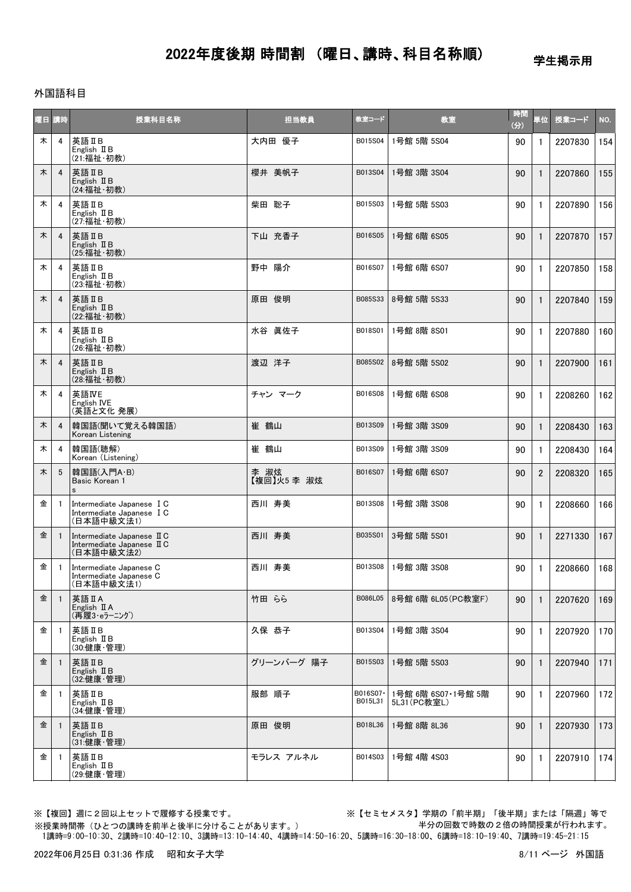学生掲示用

### 外国語科目

| 曜日 | 講時           | 授業科目名称                                                                 | 担当教員                | 教室コード               | 教室                                 | 時間<br>(3) | 単位│            | 授業コード   | NO. |
|----|--------------|------------------------------------------------------------------------|---------------------|---------------------|------------------------------------|-----------|----------------|---------|-----|
| 木  | 4            | 英語ⅡB<br>English II B<br>(21:福祉·初教)                                     | 大内田 優子              | B015S04             | 1号館 5階 5S04                        | 90        | $\mathbf{1}$   | 2207830 | 154 |
| 木  | 4            | 英語IB<br>English $I\!I B$<br>(24: 福祉· 初教)                               | 櫻井 美帆子              | B013S04             | 1号館 3階 3S04                        | 90        | -1             | 2207860 | 155 |
| 木  | 4            | 英語IIB<br>English $I\!I B$<br>(27:福祉·初教)                                | 柴田 聡子               | B015S03             | 1号館 5階 5S03                        | 90        | -1             | 2207890 | 156 |
| 木  | 4            | 英語ⅡB<br>English $I\!I B$<br>(25:福祉・初教)                                 | 下山 充香子              | B016S05             | 1号館 6階 6S05                        | 90        | 1              | 2207870 | 157 |
| 木  | 4            | 英語IB<br>English $I\!I$ B<br>(23:福祉·初教)                                 | 野中 陽介               | B016S07             | 1号館 6階 6S07                        | 90        | -1             | 2207850 | 158 |
| 木  | 4            | 英語IB<br>English $I\!I B$<br>(22:福祉·初教)                                 | 原田 俊明               | B085S33             | 8号館 5階 5S33                        | 90        |                | 2207840 | 159 |
| 木  | 4            | 英語ⅡB<br>English II B<br>(26:福祉・初教)                                     | 水谷 眞佐子              | B018S01             | 1号館 8階 8S01                        | 90        | -1             | 2207880 | 160 |
| 木  | 4            | 英語ⅡB<br>English $I\!I B$<br>(28:福祉·初教)                                 | 渡辺 洋子               | B085S02             | 8号館 5階 5S02                        | 90        |                | 2207900 | 161 |
| 木  | 4            | 英語IVE<br>English IVE<br>(英語と文化 発展)                                     | チャン マーク             | B016S08             | 1号館 6階 6S08                        | 90        | $\mathbf{1}$   | 2208260 | 162 |
| 木  | 4            | 韓国語(聞いて覚える韓国語)<br>Korean Listening                                     | 崔 鶴山                | B013S09             | 1号館 3階 3S09                        | 90        |                | 2208430 | 163 |
| 木  | 4            | 韓国語(聴解)<br>Korean (Listening)                                          | 崔 鶴山                | B013S09             | 1号館 3階 3S09                        | 90        | 1              | 2208430 | 164 |
| 木  | 5            | 韓国語(入門A·B)<br>Basic Korean 1<br>s                                      | 李 淑炫<br>【複回】火5 李 淑炫 | B016S07             | 1号館 6階 6S07                        | 90        | $\overline{2}$ | 2208320 | 165 |
| 金  | -1           | Intermediate Japanese I C<br>Intermediate Japanese I C<br>(日本語中級文法1)   | 西川 寿美               | B013S08             | 1号館 3階 3S08                        | 90        | $\mathbf{1}$   | 2208660 | 166 |
| 金  | $\mathbf{1}$ | Intermediate Japanese II C<br>Intermediate Japanese II C<br>(日本語中級文法2) | 西川 寿美               | B035S01             | 3号館 5階 5S01                        | 90        | 1              | 2271330 | 167 |
| 金  | $\mathbf{1}$ | Intermediate Japanese C<br>Intermediate Japanese C<br>(日本語中級文法1)       | 西川 寿美               | B013S08             | 1号館 3階 3S08                        | 90        | -1             | 2208660 | 168 |
| 金  | $\mathbf{1}$ | 英語 II A<br>English $\mathbb I$ A<br>(再履3·eラーニング)                       | 竹田 らら               | B086L05             | 8号館 6階 6L05 (PC教室F)                | 90        | 1              | 2207620 | 169 |
| 金  | $\mathbf{1}$ | 英語IB<br>English $I\!I B$<br>(30:健康·管理)                                 | 久保 恭子               | B013S04             | 1号館 3階 3S04                        | 90        | $\mathbf{1}$   | 2207920 | 170 |
| 金  | $\mathbf{1}$ | 英語ⅡB<br>English II B<br>(32:健康·管理)                                     | グリーンバーグ 陽子          | B015S03             | 1号館 5階 5S03                        | 90        | 1              | 2207940 | 171 |
| 金  | -1           | 英語IB<br>English $I\!I B$<br>(34:健康·管理)                                 | 服部 順子               | B016S07-<br>B015L31 | 1号館 6階 6S07·1号館 5階<br>5L31 (PC教室L) | 90        | $\mathbf{1}$   | 2207960 | 172 |
| 金  | $\mathbf{1}$ | 英語IB<br>English $I\!I B$<br>(31:健康・管理)                                 | 原田 俊明               | B018L36             | 1号館 8階 8L36                        | 90        | 1              | 2207930 | 173 |
| 金  | $\mathbf{1}$ | 英語IB<br>English $I\!I B$<br>(29:健康·管理)                                 | モラレス アルネル           | B014S03             | 1号館 4階 4S03                        | 90        | 1              | 2207910 | 174 |
|    |              |                                                                        |                     |                     |                                    |           |                |         |     |

※授業時間帯(ひとつの講時を前半と後半に分けることがあります。)

※【複回】週に2回以上セットで履修する授業です。 ※【セミセメスタ】学期の「前半期」「後半期」または「隔週」等で 半分の回数で時数の2倍の時間授業が行われます。

1講時=9:00-10:30、2講時=10:40-12:10、3講時=13:10-14:40、4講時=14:50-16:20、5講時=16:30-18:00、6講時=18:10-19:40、7講時=19:45-21:15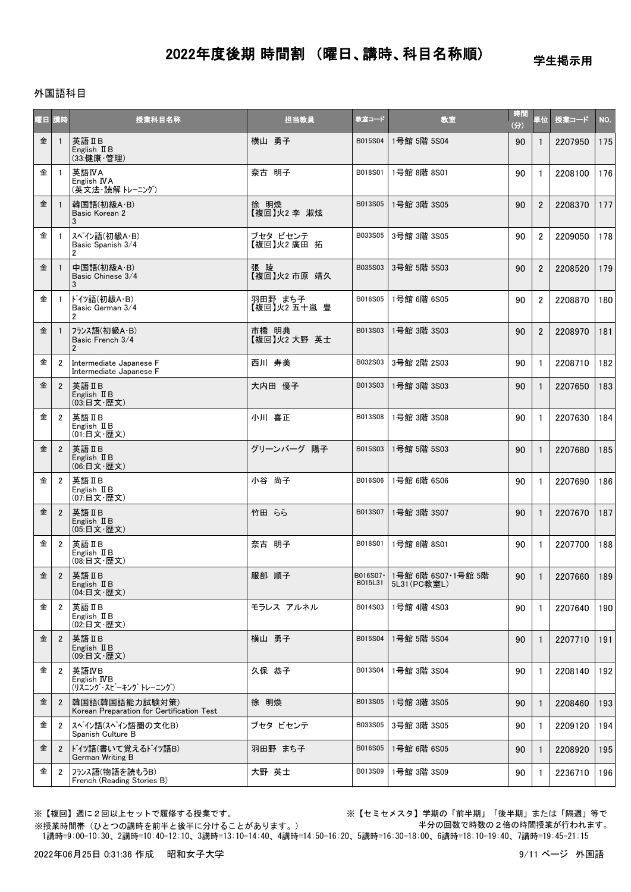学生掲示用

### 外国語科目

| 宿目 | 前時             | 授業科目名称                                                      | 担当教員                    | 教室コード                | 教室                                 | 時間<br>(分) | 単位             | 授業コード   | NO. |
|----|----------------|-------------------------------------------------------------|-------------------------|----------------------|------------------------------------|-----------|----------------|---------|-----|
| 金  | $\mathbf{1}$   | 英語ⅡB<br>English II B<br>(33:健康·管理)                          | 横山 勇子                   | B015S04              | 1号館 5階 5S04                        | 90        | $\mathbf{1}$   | 2207950 | 175 |
| 金  | -1             | 英語IVA<br>English IVA<br>(英文法・読解 トレーニング)                     | 奈古 明子                   | B018S01              | 1号館 8階 8S01                        | 90        | 1              | 2208100 | 176 |
| 金  | -1             | 韓国語(初級A·B)<br>Basic Korean 2<br>3                           | 徐 明煥<br>【複回】火2 李 淑炫     | B013S05              | 1号館 3階 3S05                        | 90        | $\overline{2}$ | 2208370 | 177 |
| 金  | -1             | スペイン語(初級A・B)<br>Basic Spanish 3/4<br>$\overline{2}$         | ブセタ ビセンテ<br>【複回】火2 廣田 拓 | B033S05              | 3号館 3階 3S05                        | 90        | $\overline{2}$ | 2209050 | 178 |
| 金  | -1             | 中国語(初級A·B)<br>Basic Chinese 3/4<br>3                        | 張 陵<br>【複回】火2 市原 靖久     | B035S03              | 3号館 5階 5S03                        | 90        | $\overline{2}$ | 2208520 | 179 |
| 金  | -1             | ドイツ語(初級A・B)<br>Basic German 3/4<br>$\overline{2}$           | 羽田野 まち子<br>【複回】火2 五十嵐 豊 | B016S05              | 1号館 6階 6S05                        | 90        | $\overline{2}$ | 2208870 | 180 |
| 金  |                | フランス語(初級A・B)<br>Basic French 3/4<br>$\mathfrak{p}$          | 市橋 明典<br>【複回】火2大野 英士    | B013S03              | 1号館 3階 3S03                        | 90        | $\overline{2}$ | 2208970 | 181 |
| 金  | $\overline{2}$ | Intermediate Japanese F<br>Intermediate Japanese F          | 西川 寿美                   | B032S03              | 3号館 2階 2S03                        | 90        | $\mathbf{1}$   | 2208710 | 182 |
| 金  | $\overline{2}$ | 英語 II B<br>English II B<br>(03:日文·歴文)                       | 大内田 優子                  | B013S03              | 1号館 3階 3S03                        | 90        | 1              | 2207650 | 183 |
| 金  | 2              | 英語 IIB<br>English II B<br>(01:日文·歴文)                        | 小川 喜正                   | B013S08              | 1号館 3階 3S08                        | 90        | 1              | 2207630 | 184 |
| 金  | $\overline{2}$ | 英語 II B<br>English II B<br>(06:日文·歴文)                       | グリーンバーグ 陽子              | B015S03              | 1号館 5階 5S03                        | 90        | 1              | 2207680 | 185 |
| 金  | 2              | 英語 IIB<br>English $I\!I B$<br>(07:日文·歴文)                    | 小谷 尚子                   | B016S06              | 1号館 6階 6S06                        | 90        | 1              | 2207690 | 186 |
| 金  | $\overline{2}$ | 英語 II B<br>English II B<br>(05:日文·歴文)                       | 竹田 らら                   | B013S07              | 1号館 3階 3S07                        | 90        | 1              | 2207670 | 187 |
| 金  | $\overline{2}$ | 英語IIB<br>English II B<br>(08:日文·歴文)                         | 奈古 明子                   | B018S01              | 1号館 8階 8S01                        | 90        | 1              | 2207700 | 188 |
| 金  | $\overline{2}$ | 英語 IIB<br>English II B<br>(04:日文·歴文)                        | 服部 順子                   | B016S07 ·<br>B015L31 | 1号館 6階 6S07·1号館 5階<br>5L31 (PC教室L) | 90        | 1              | 2207660 | 189 |
| 金  | $\overline{2}$ | 英語ⅡB<br>English $I\!I B$<br>(02:日文·歴文)                      | モラレス アルネル               | B014S03              | 1号館 4階 4S03                        | 90        | 1              | 2207640 | 190 |
| 金  | $\overline{2}$ | 英語IB<br>English $\mathbb I$ B<br>(09:日文·歴文)                 | 横山 勇子                   | B015S04              | 1号館 5階 5S04                        | 90        | 1              | 2207710 | 191 |
| 金  | $\overline{2}$ | 英語IVB<br>English IVB<br>(リスニング・スピーキング トレーニング)               | 久保 恭子                   | B013S04              | 1号館 3階 3S04                        | 90        | 1              | 2208140 | 192 |
| 金  | $\overline{2}$ | 韓国語(韓国語能力試験対策)<br>Korean Preparation for Certification Test | 徐 明煥                    | B013S05              | 1号館 3階 3S05                        | 90        | $\mathbf{1}$   | 2208460 | 193 |
| 金  | 2              | スペイン語(スペイン語圏の文化B)<br>Spanish Culture B                      | ブセタ ビセンテ                | B033S05              | 3号館 3階 3S05                        | 90        | 1              | 2209120 | 194 |
| 金  | $\overline{2}$ | ドイツ語(書いて覚えるドイツ語B)<br>German Writing B                       | 羽田野 まち子                 | B016S05              | 1号館 6階 6S05                        | 90        | 1              | 2208920 | 195 |
| 金  | $\overline{2}$ | フランス語(物語を読もうB)<br>French (Reading Stories B)                | 大野 英士                   | B013S09              | 1号館 3階 3S09                        | 90        | 1              | 2236710 | 196 |

※【複回】週に2回以上セットで履修する授業です。 ※【セミセメスタ】学期の「前半期」「後半期」または「隔週」等で 半分の回数で時数の2倍の時間授業が行われます。

 1講時=9:00-10:30、2講時=10:40-12:10、3講時=13:10-14:40、4講時=14:50-16:20、5講時=16:30-18:00、6講時=18:10-19:40、7講時=19:45-21:15 ※授業時間帯(ひとつの講時を前半と後半に分けることがあります。)

2022年06月25日 0:31:36 作成 昭和女子大学 9/11 ページ 外国語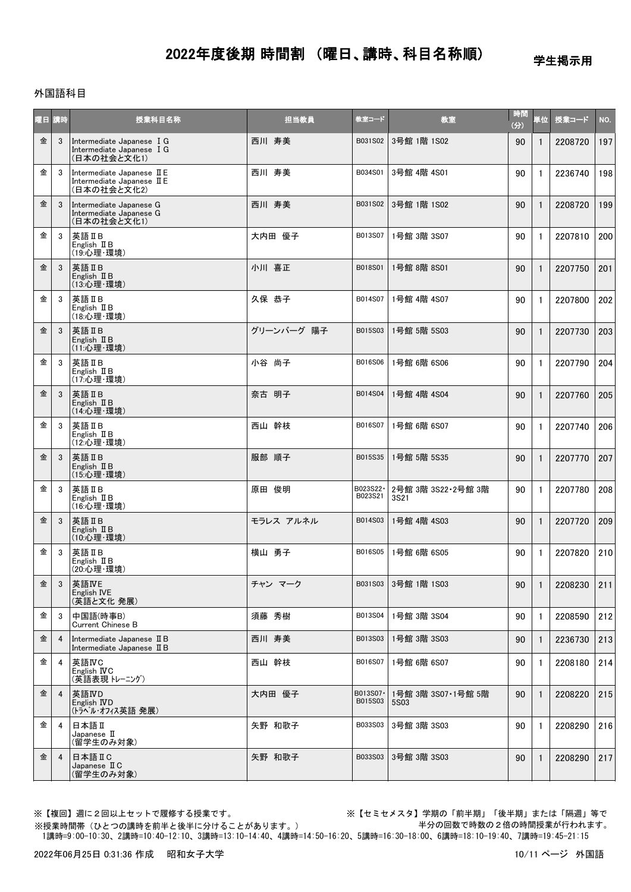学生掲示用

### 外国語科目

| 阿日 | OG.            | 授業科目名称                                                                  | 担当教員       | 教室コード               | 教室                         | 時間<br>(分) | 単位           | 授業コード   | NO. |
|----|----------------|-------------------------------------------------------------------------|------------|---------------------|----------------------------|-----------|--------------|---------|-----|
| 金  | 3              | Intermediate Japanese I G<br>Intermediate Japanese I G<br>(日本の社会と文化1)   | 西川 寿美      | B031S02             | 3号館 1階 1S02                | 90        |              | 2208720 | 197 |
| 金  | 3              | Intermediate Japanese II E<br>Intermediate Japanese II E<br>(日本の社会と文化2) | 西川 寿美      | B034S01             | 3号館 4階 4S01                | 90        | -1           | 2236740 | 198 |
| 金  | 3              | Intermediate Japanese G<br>Intermediate Japanese G<br>(日本の社会と文化1)       | 西川 寿美      | B031S02             | 3号館 1階 1S02                | 90        | $\mathbf{1}$ | 2208720 | 199 |
| 金  | 3              | 英語IB<br>English $I\!I B$<br>(19:心理·環境)                                  | 大内田 優子     | B013S07             | 1号館 3階 3S07                | 90        | -1           | 2207810 | 200 |
| 金  | 3              | 英語ⅡB<br>English $I\!I$ B<br>(13:心理·環境)                                  | 小川 喜正      | B018S01             | 1号館 8階 8S01                | 90        | $\mathbf{1}$ | 2207750 | 201 |
| 金  | 3              | 英語 II B<br>English $I\!I B$<br>(18:心理·環境)                               | 久保 恭子      | B014S07             | 1号館 4階 4S07                | 90        | -1           | 2207800 | 202 |
| 金  | 3              | 英語 II B<br>English II B<br>(11:心理·環境)                                   | グリーンバーグ 陽子 | B015S03             | 1号館 5階 5S03                | 90        | $\mathbf{1}$ | 2207730 | 203 |
| 金  | 3              | 英語IIB<br>English II B<br>(17: 心理·環境)                                    | 小谷 尚子      | B016S06             | 1号館 6階 6S06                | 90        | -1           | 2207790 | 204 |
| 金  | 3              | 英語IB<br>English II B<br>(14: 心理·環境)                                     | 奈古 明子      | B014S04             | 1号館 4階 4S04                | 90        | $\mathbf{1}$ | 2207760 | 205 |
| 金  | 3              | 英語IB<br>English II B<br>(12:心理·環境)                                      | 西山 幹枝      | B016S07             | 1号館 6階 6S07                | 90        | 1            | 2207740 | 206 |
| 金  | 3              | 英語IB<br>English II B<br>(15:心理·環境)                                      | 服部 順子      | B015S35             | 1号館 5階 5S35                | 90        | $\mathbf{1}$ | 2207770 | 207 |
| 金  | 3              | 英語IB<br>English II B<br>(16:心理·環境)                                      | 原田 俊明      | B023S22·<br>B023S21 | 2号館 3階 3S22·2号館 3階<br>3S21 | 90        | 1            | 2207780 | 208 |
| 金  | 3              | 英語IB<br>English $I\!I B$<br>(10:心理·環境)                                  | モラレス アルネル  | B014S03             | 1号館 4階 4S03                | 90        | $\mathbf{1}$ | 2207720 | 209 |
| 金  | 3              | 英語IB<br>English II B<br>(20:心理·環境)                                      | 横山 勇子      | B016S05             | 1号館 6階 6S05                | 90        | 1            | 2207820 | 210 |
| 金  | $\mathbf{3}$   | 英語IVE<br>English IVE<br>(英語と文化 発展)                                      | チャン マーク    | B031S03             | 3号館 1階 1S03                | 90        | $\mathbf{1}$ | 2208230 | 211 |
| 金  | 3              | 中国語(時事B)<br><b>Current Chinese B</b>                                    | 須藤 秀樹      | B013S04             | 1号館 3階 3S04                | 90        | $\mathbf{1}$ | 2208590 | 212 |
| 金  | 4              | Intermediate Japanese II B<br>Intermediate Japanese II B                | 西川 寿美      | B013S03             | 1号館 3階 3S03                | 90        |              | 2236730 | 213 |
| 金  | 4              | 英語IVC<br>English <b>IVC</b><br>(英語表現 トレーニング)                            | 西山 幹枝      | B016S07             | 1号館 6階 6S07                | 90        |              | 2208180 | 214 |
| 金  | 4              | 英語IVD<br>English <b>IVD</b><br>(トラベル・オフィス英語 発展)                         | 大内田 優子     | B013S07·<br>B015S03 | 1号館 3階 3S07·1号館 5階<br>5S03 | 90        | -1           | 2208220 | 215 |
| 金  | 4              | 日本語Ⅱ<br>Japanese II<br>(留学生のみ対象)                                        | 矢野 和歌子     | B033S03             | 3号館 3階 3S03                | 90        | -1           | 2208290 | 216 |
| 金  | $\overline{4}$ | 日本語ⅡC<br>Japanese II C<br>(留学生のみ対象)                                     | 矢野 和歌子     | B033S03             | 3号館 3階 3S03                | 90        |              | 2208290 | 217 |

※授業時間帯(ひとつの講時を前半と後半に分けることがあります。)

※【複回】週に2回以上セットで履修する授業です。 ※【セミセメスタ】学期の「前半期」「後半期」または「隔週」等で 半分の回数で時数の2倍の時間授業が行われます。

1講時=9:00-10:30、2講時=10:40-12:10、3講時=13:10-14:40、4講時=14:50-16:20、5講時=16:30-18:00、6講時=18:10-19:40、7講時=19:45-21:15